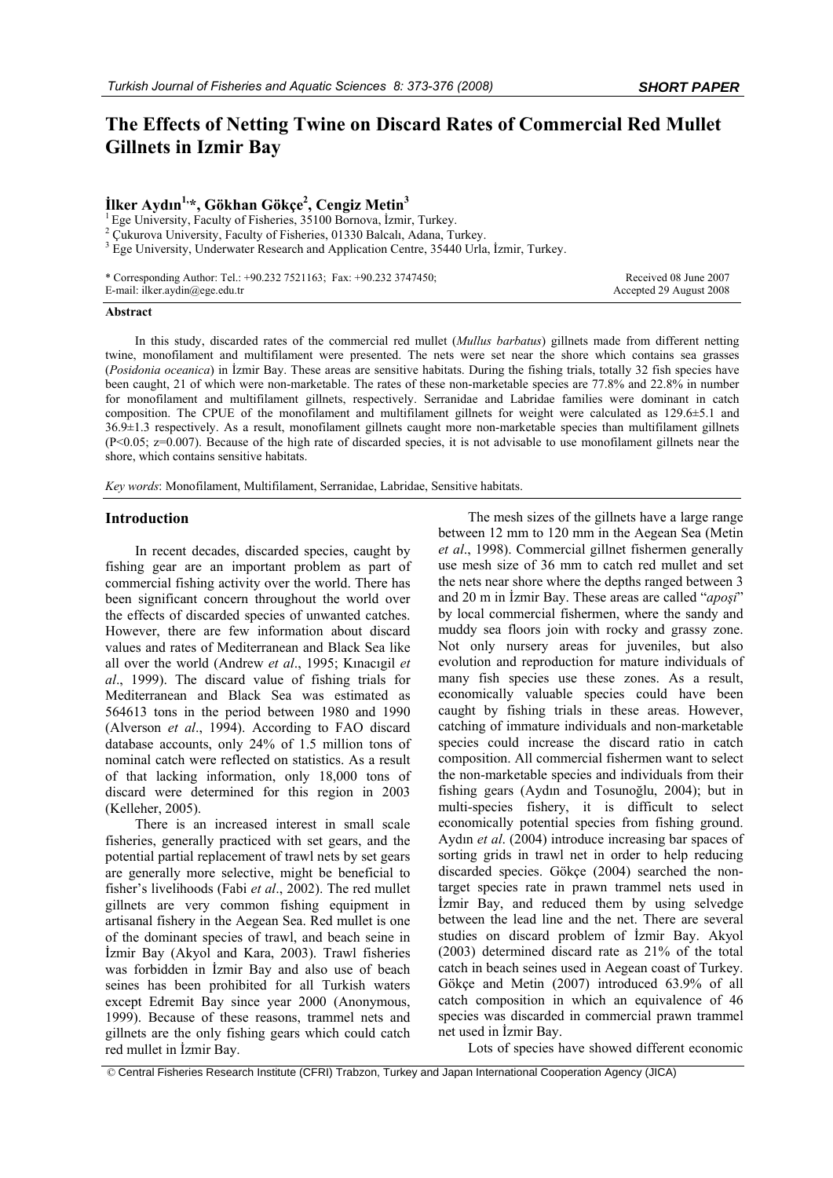# **The Effects of Netting Twine on Discard Rates of Commercial Red Mullet Gillnets in Izmir Bay**

## $\dot{\textbf{I}}$ lker Aydın<sup>1,</sup>\*, Gökhan Gökçe<sup>2</sup>, Cengiz Metin<sup>3</sup>

 $1$  Ege University, Faculty of Fisheries, 35100 Bornova, İzmir, Turkey.

 $2$  Cukurova University, Faculty of Fisheries, 01330 Balcalı, Adana, Turkey.

<sup>3</sup> Ege University, Underwater Research and Application Centre, 35440 Urla, İzmir, Turkey.

\* Corresponding Author: Tel.: +90.232 7521163; Fax: +90.232 3747450; E-mail: ilker.aydin@ege.edu.tr

 Received 08 June 2007 Accepted 29 August 2008

#### **Abstract**

In this study, discarded rates of the commercial red mullet (*Mullus barbatus*) gillnets made from different netting twine, monofilament and multifilament were presented. The nets were set near the shore which contains sea grasses (*Posidonia oceanica*) in İzmir Bay. These areas are sensitive habitats. During the fishing trials, totally 32 fish species have been caught, 21 of which were non-marketable. The rates of these non-marketable species are 77.8% and 22.8% in number for monofilament and multifilament gillnets, respectively. Serranidae and Labridae families were dominant in catch composition. The CPUE of the monofilament and multifilament gillnets for weight were calculated as 129.6±5.1 and 36.9±1.3 respectively. As a result, monofilament gillnets caught more non-marketable species than multifilament gillnets  $(P<0.05; z=0.007)$ . Because of the high rate of discarded species, it is not advisable to use monofilament gillnets near the shore, which contains sensitive habitats.

*Key words*: Monofilament, Multifilament, Serranidae, Labridae, Sensitive habitats.

#### **Introduction**

In recent decades, discarded species, caught by fishing gear are an important problem as part of commercial fishing activity over the world. There has been significant concern throughout the world over the effects of discarded species of unwanted catches. However, there are few information about discard values and rates of Mediterranean and Black Sea like all over the world (Andrew *et al*., 1995; Kınacıgil *et al*., 1999). The discard value of fishing trials for Mediterranean and Black Sea was estimated as 564613 tons in the period between 1980 and 1990 (Alverson *et al*., 1994). According to FAO discard database accounts, only 24% of 1.5 million tons of nominal catch were reflected on statistics. As a result of that lacking information, only 18,000 tons of discard were determined for this region in 2003 (Kelleher, 2005).

There is an increased interest in small scale fisheries, generally practiced with set gears, and the potential partial replacement of trawl nets by set gears are generally more selective, might be beneficial to fisher's livelihoods (Fabi *et al*., 2002). The red mullet gillnets are very common fishing equipment in artisanal fishery in the Aegean Sea. Red mullet is one of the dominant species of trawl, and beach seine in İzmir Bay (Akyol and Kara, 2003). Trawl fisheries was forbidden in İzmir Bay and also use of beach seines has been prohibited for all Turkish waters except Edremit Bay since year 2000 (Anonymous, 1999). Because of these reasons, trammel nets and gillnets are the only fishing gears which could catch red mullet in İzmir Bay.

The mesh sizes of the gillnets have a large range between 12 mm to 120 mm in the Aegean Sea (Metin *et al*., 1998). Commercial gillnet fishermen generally use mesh size of 36 mm to catch red mullet and set the nets near shore where the depths ranged between 3 and 20 m in İzmir Bay. These areas are called "*apoşi*" by local commercial fishermen, where the sandy and muddy sea floors join with rocky and grassy zone. Not only nursery areas for juveniles, but also evolution and reproduction for mature individuals of many fish species use these zones. As a result, economically valuable species could have been caught by fishing trials in these areas. However, catching of immature individuals and non-marketable species could increase the discard ratio in catch composition. All commercial fishermen want to select the non-marketable species and individuals from their fishing gears (Aydın and Tosunoğlu, 2004); but in multi-species fishery, it is difficult to select economically potential species from fishing ground. Aydın *et al*. (2004) introduce increasing bar spaces of sorting grids in trawl net in order to help reducing discarded species. Gökçe (2004) searched the nontarget species rate in prawn trammel nets used in İzmir Bay, and reduced them by using selvedge between the lead line and the net. There are several studies on discard problem of İzmir Bay. Akyol (2003) determined discard rate as 21% of the total catch in beach seines used in Aegean coast of Turkey. Gökçe and Metin (2007) introduced 63.9% of all catch composition in which an equivalence of 46 species was discarded in commercial prawn trammel net used in İzmir Bay.

Lots of species have showed different economic

© Central Fisheries Research Institute (CFRI) Trabzon, Turkey and Japan International Cooperation Agency (JICA)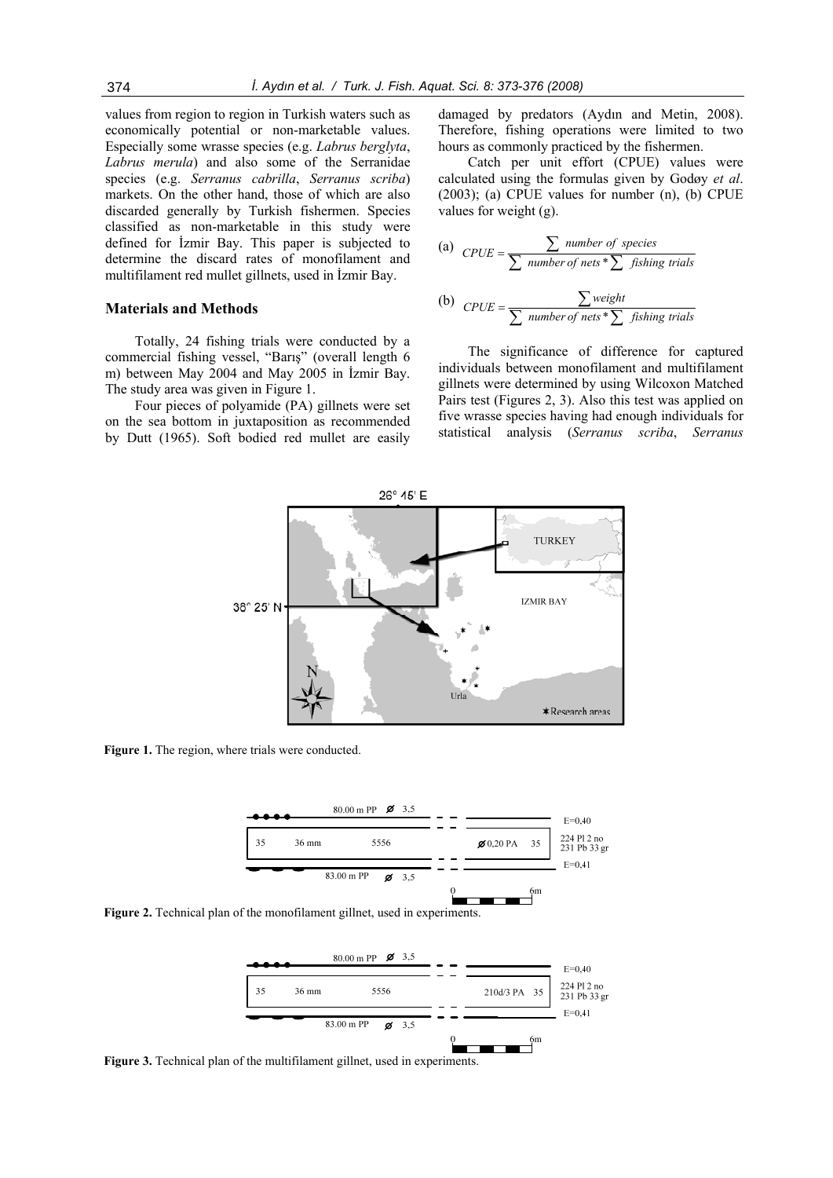values from region to region in Turkish waters such as economically potential or non-marketable values. Especially some wrasse species (e.g. *Labrus berglyta*, *Labrus merula*) and also some of the Serranidae species (e.g. *Serranus cabrilla*, *Serranus scriba*) markets. On the other hand, those of which are also discarded generally by Turkish fishermen. Species classified as non-marketable in this study were defined for İzmir Bay. This paper is subjected to determine the discard rates of monofilament and multifilament red mullet gillnets, used in İzmir Bay.

#### **Materials and Methods**

Totally, 24 fishing trials were conducted by a commercial fishing vessel, "Barış" (overall length 6 m) between May 2004 and May 2005 in İzmir Bay. The study area was given in Figure 1.

Four pieces of polyamide (PA) gillnets were set on the sea bottom in juxtaposition as recommended by Dutt (1965). Soft bodied red mullet are easily

damaged by predators (Aydın and Metin, 2008). Therefore, fishing operations were limited to two hours as commonly practiced by the fishermen.

Catch per unit effort (CPUE) values were calculated using the formulas given by Godøy *et al*. (2003); (a) CPUE values for number (n), (b) CPUE values for weight (g).

(a) 
$$
CPUE = \frac{\sum number of species}{\sum number of nets * \sum fishing trials}
$$
  
(b) 
$$
CPUE = \frac{\sum weight}{\sum number of nets * \sum fishing trials}
$$

The significance of difference for captured individuals between monofilament and multifilament gillnets were determined by using Wilcoxon Matched Pairs test (Figures 2, 3). Also this test was applied on five wrasse species having had enough individuals for statistical analysis (*Serranus scriba*, *Serranus* 



Figure 1. The region, where trials were conducted.



**Figure 2.** Technical plan of the monofilament gillnet, used in experiments.



**Figure 3.** Technical plan of the multifilament gillnet, used in experiments.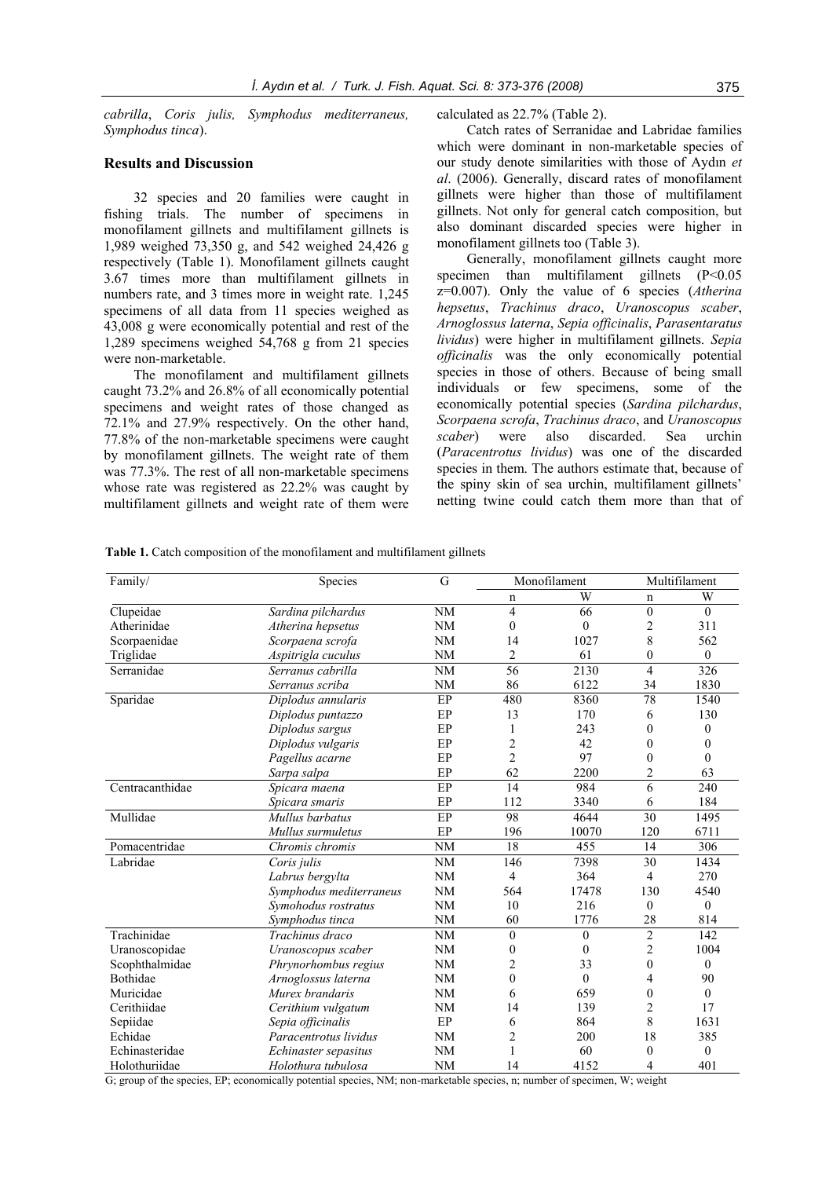*cabrilla*, *Coris julis, Symphodus mediterraneus, Symphodus tinca*).

### **Results and Discussion**

32 species and 20 families were caught in fishing trials. The number of specimens in monofilament gillnets and multifilament gillnets is 1,989 weighed 73,350 g, and 542 weighed 24,426 g respectively (Table 1). Monofilament gillnets caught 3.67 times more than multifilament gillnets in numbers rate, and 3 times more in weight rate. 1,245 specimens of all data from 11 species weighed as 43,008 g were economically potential and rest of the 1,289 specimens weighed 54,768 g from 21 species were non-marketable.

The monofilament and multifilament gillnets caught 73.2% and 26.8% of all economically potential specimens and weight rates of those changed as 72.1% and 27.9% respectively. On the other hand, 77.8% of the non-marketable specimens were caught by monofilament gillnets. The weight rate of them was 77.3%. The rest of all non-marketable specimens whose rate was registered as 22.2% was caught by multifilament gillnets and weight rate of them were calculated as 22.7% (Table 2).

Catch rates of Serranidae and Labridae families which were dominant in non-marketable species of our study denote similarities with those of Aydın *et al*. (2006). Generally, discard rates of monofilament gillnets were higher than those of multifilament gillnets. Not only for general catch composition, but also dominant discarded species were higher in monofilament gillnets too (Table 3).

Generally, monofilament gillnets caught more specimen than multifilament gillnets (P<0.05 z=0.007). Only the value of 6 species (*Atherina hepsetus*, *Trachinus draco*, *Uranoscopus scaber*, *Arnoglossus laterna*, *Sepia officinalis*, *Parasentaratus lividus*) were higher in multifilament gillnets. *Sepia officinalis* was the only economically potential species in those of others. Because of being small individuals or few specimens, some of the economically potential species (*Sardina pilchardus*, *Scorpaena scrofa*, *Trachinus draco*, and *Uranoscopus scaber*) were also discarded. Sea urchin (*Paracentrotus lividus*) was one of the discarded species in them. The authors estimate that, because of the spiny skin of sea urchin, multifilament gillnets' netting twine could catch them more than that of

| Table 1. Catch composition of the monofilament and multifilament gillnets |  |
|---------------------------------------------------------------------------|--|
|---------------------------------------------------------------------------|--|

| Family/         | Species                 | G         | Monofilament     |                   | Multifilament    |                  |
|-----------------|-------------------------|-----------|------------------|-------------------|------------------|------------------|
|                 |                         |           | n                | W                 | n                | W                |
| Clupeidae       | Sardina pilchardus      | NM        | 4                | 66                | $\mathbf{0}$     | $\theta$         |
| Atherinidae     | Atherina hepsetus       | <b>NM</b> | $\mathbf{0}$     | $\boldsymbol{0}$  | $\overline{c}$   | 311              |
| Scorpaenidae    | Scorpaena scrofa        | NM        | 14               | 1027              | 8                | 562              |
| Triglidae       | Aspitrigla cuculus      | <b>NM</b> | $\overline{2}$   | 61                | $\mathbf{0}$     | $\theta$         |
| Serranidae      | Serranus cabrilla       | <b>NM</b> | 56               | $\overline{2130}$ | $\overline{4}$   | 326              |
|                 | Serranus scriba         | <b>NM</b> | 86               | 6122              | 34               | 1830             |
| Sparidae        | Diplodus annularis      | EP        | 480              | 8360              | 78               | 1540             |
|                 | Diplodus puntazzo       | EP        | 13               | 170               | 6                | 130              |
|                 | Diplodus sargus         | EP        | 1                | 243               | $\theta$         | $\theta$         |
|                 | Diplodus vulgaris       | EP        | $\overline{c}$   | 42                | $\boldsymbol{0}$ | 0                |
|                 | Pagellus acarne         | EP        | $\overline{c}$   | 97                | $\boldsymbol{0}$ | $\boldsymbol{0}$ |
|                 | Sarpa salpa             | EP        | 62               | 2200              | $\overline{c}$   | 63               |
| Centracanthidae | Spicara maena           | EP        | 14               | 984               | $\overline{6}$   | 240              |
|                 | Spicara smaris          | EP        | 112              | 3340              | 6                | 184              |
| Mullidae        | Mullus barbatus         | EP        | 98               | 4644              | 30               | 1495             |
|                 | Mullus surmuletus       | EP        | 196              | 10070             | 120              | 6711             |
| Pomacentridae   | Chromis chromis         | <b>NM</b> | 18               | 455               | 14               | 306              |
| Labridae        | Coris julis             | NM        | 146              | 7398              | 30               | 1434             |
|                 | Labrus bergylta         | NM        | 4                | 364               | 4                | 270              |
|                 | Symphodus mediterraneus | <b>NM</b> | 564              | 17478             | 130              | 4540             |
|                 | Symohodus rostratus     | NM        | 10               | 216               | $\mathbf{0}$     | $\theta$         |
|                 | Symphodus tinca         | NM        | 60               | 1776              | 28               | 814              |
| Trachinidae     | Trachinus draco         | NM        | $\mathbf{0}$     | $\mathbf{0}$      | $\overline{2}$   | 142              |
| Uranoscopidae   | Uranoscopus scaber      | <b>NM</b> | $\boldsymbol{0}$ | $\boldsymbol{0}$  | $\overline{c}$   | 1004             |
| Scophthalmidae  | Phrynorhombus regius    | NM        | 2                | 33                | $\mathbf{0}$     | $\mathbf{0}$     |
| Bothidae        | Arnoglossus laterna     | NM        | $\mathbf{0}$     | $\mathbf{0}$      | $\overline{4}$   | 90               |
| Muricidae       | Murex brandaris         | NM        | 6                | 659               | $\mathbf{0}$     | $\theta$         |
| Cerithiidae     | Cerithium vulgatum      | <b>NM</b> | 14               | 139               | $\overline{c}$   | 17               |
| Sepiidae        | Sepia officinalis       | EP        | 6                | 864               | 8                | 1631             |
| Echidae         | Paracentrotus lividus   | <b>NM</b> | $\overline{c}$   | 200               | 18               | 385              |
| Echinasteridae  | Echinaster sepasitus    | <b>NM</b> | 1                | 60                | $\theta$         | $\theta$         |
| Holothuriidae   | Holothura tubulosa      | <b>NM</b> | 14               | 4152              | 4                | 401              |

G; group of the species, EP; economically potential species, NM; non-marketable species, n; number of specimen, W; weight